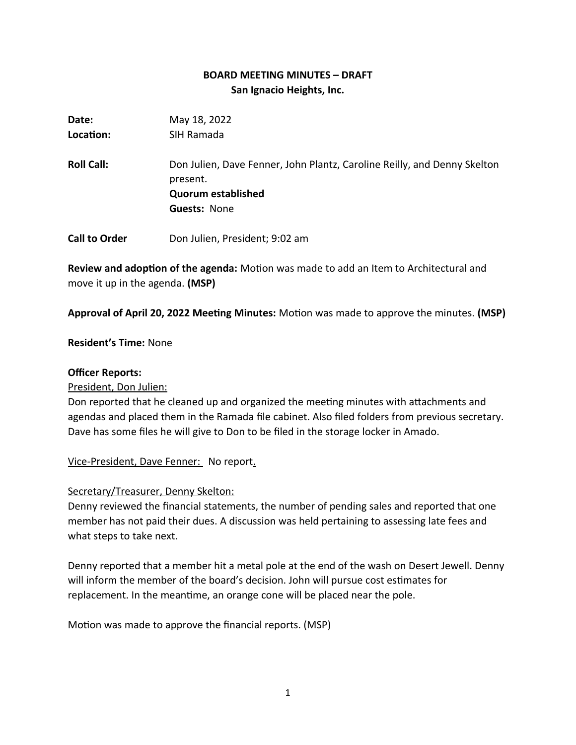# **BOARD MEETING MINUTES – DRAFT San Ignacio Heights, Inc.**

| Date:                | May 18, 2022                                                                                                                             |
|----------------------|------------------------------------------------------------------------------------------------------------------------------------------|
| Location:            | SIH Ramada                                                                                                                               |
| <b>Roll Call:</b>    | Don Julien, Dave Fenner, John Plantz, Caroline Reilly, and Denny Skelton<br>present.<br><b>Quorum established</b><br><b>Guests: None</b> |
|                      |                                                                                                                                          |
| <b>Call to Order</b> | Don Julien, President; 9:02 am                                                                                                           |

**Review and adoption of the agenda:** Motion was made to add an Item to Architectural and move it up in the agenda. **(MSP)**

**Approval of April 20, 2022 Meeting Minutes:** Motion was made to approve the minutes. **(MSP)**

### **Resident's Time:** None

### **Officer Reports:**

President, Don Julien:

Don reported that he cleaned up and organized the meeting minutes with attachments and agendas and placed them in the Ramada file cabinet. Also filed folders from previous secretary. Dave has some files he will give to Don to be filed in the storage locker in Amado.

Vice-President, Dave Fenner: No report.

### Secretary/Treasurer, Denny Skelton:

Denny reviewed the financial statements, the number of pending sales and reported that one member has not paid their dues. A discussion was held pertaining to assessing late fees and what steps to take next.

Denny reported that a member hit a metal pole at the end of the wash on Desert Jewell. Denny will inform the member of the board's decision. John will pursue cost estimates for replacement. In the meantime, an orange cone will be placed near the pole.

Motion was made to approve the financial reports. (MSP)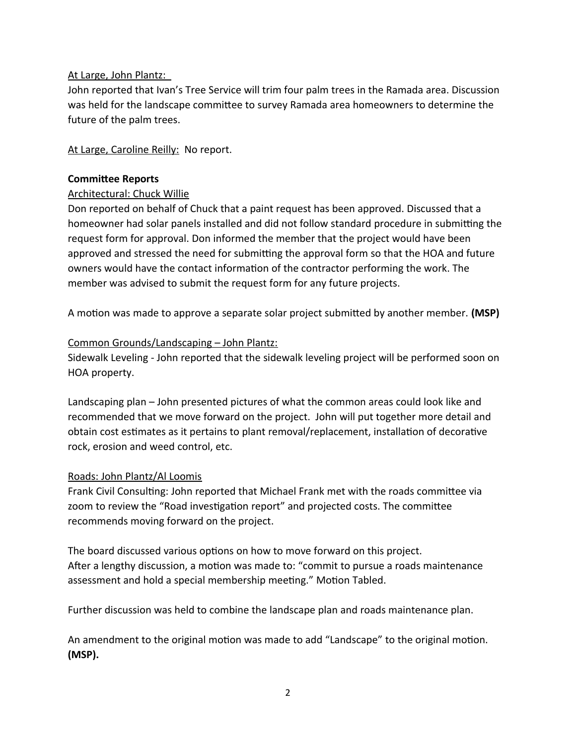# At Large, John Plantz:

John reported that Ivan's Tree Service will trim four palm trees in the Ramada area. Discussion was held for the landscape committee to survey Ramada area homeowners to determine the future of the palm trees.

At Large, Caroline Reilly: No report.

### **Committee Reports**

### Architectural: Chuck Willie

Don reported on behalf of Chuck that a paint request has been approved. Discussed that a homeowner had solar panels installed and did not follow standard procedure in submitting the request form for approval. Don informed the member that the project would have been approved and stressed the need for submitting the approval form so that the HOA and future owners would have the contact information of the contractor performing the work. The member was advised to submit the request form for any future projects.

A motion was made to approve a separate solar project submitted by another member. **(MSP)**

### Common Grounds/Landscaping – John Plantz:

Sidewalk Leveling - John reported that the sidewalk leveling project will be performed soon on HOA property.

Landscaping plan – John presented pictures of what the common areas could look like and recommended that we move forward on the project. John will put together more detail and obtain cost estimates as it pertains to plant removal/replacement, installation of decorative rock, erosion and weed control, etc.

### Roads: John Plantz/Al Loomis

Frank Civil Consulting: John reported that Michael Frank met with the roads committee via zoom to review the "Road investigation report" and projected costs. The committee recommends moving forward on the project.

The board discussed various options on how to move forward on this project. After a lengthy discussion, a motion was made to: "commit to pursue a roads maintenance assessment and hold a special membership meeting." Motion Tabled.

Further discussion was held to combine the landscape plan and roads maintenance plan.

An amendment to the original motion was made to add "Landscape" to the original motion. **(MSP).**